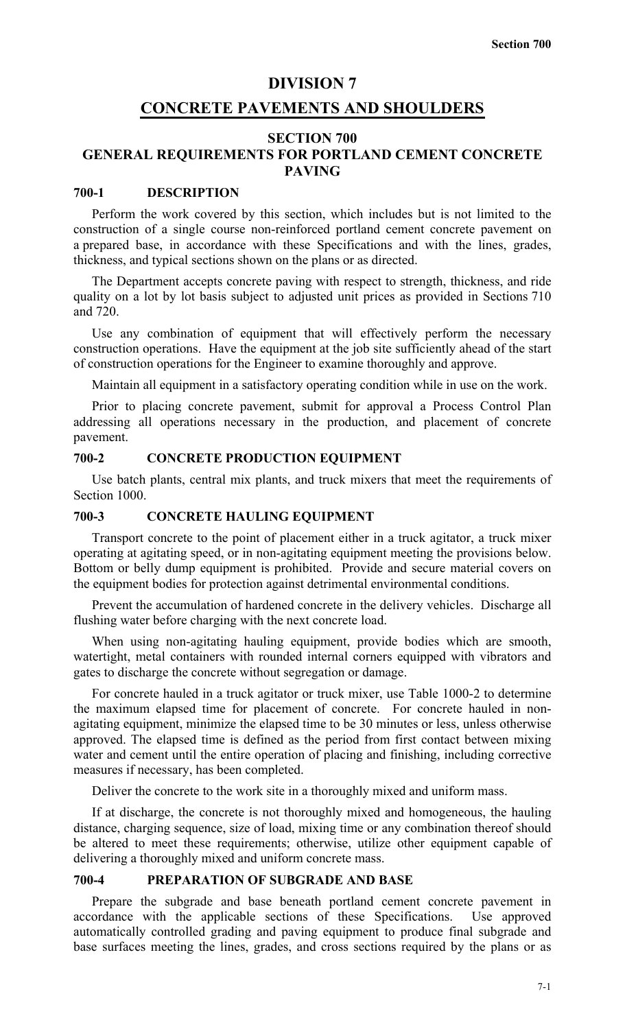#### **DIVISION 7**

# **CONCRETE PAVEMENTS AND SHOULDERS**

## **SECTION 700 GENERAL REQUIREMENTS FOR PORTLAND CEMENT CONCRETE PAVING**

#### **700-1 DESCRIPTION**

Perform the work covered by this section, which includes but is not limited to the construction of a single course non-reinforced portland cement concrete pavement on a prepared base, in accordance with these Specifications and with the lines, grades, thickness, and typical sections shown on the plans or as directed.

The Department accepts concrete paving with respect to strength, thickness, and ride quality on a lot by lot basis subject to adjusted unit prices as provided in Sections 710 and 720.

Use any combination of equipment that will effectively perform the necessary construction operations. Have the equipment at the job site sufficiently ahead of the start of construction operations for the Engineer to examine thoroughly and approve.

Maintain all equipment in a satisfactory operating condition while in use on the work.

Prior to placing concrete pavement, submit for approval a Process Control Plan addressing all operations necessary in the production, and placement of concrete pavement.

#### **700-2 CONCRETE PRODUCTION EQUIPMENT**

Use batch plants, central mix plants, and truck mixers that meet the requirements of Section 1000.

#### **700-3 CONCRETE HAULING EQUIPMENT**

Transport concrete to the point of placement either in a truck agitator, a truck mixer operating at agitating speed, or in non-agitating equipment meeting the provisions below. Bottom or belly dump equipment is prohibited. Provide and secure material covers on the equipment bodies for protection against detrimental environmental conditions.

Prevent the accumulation of hardened concrete in the delivery vehicles. Discharge all flushing water before charging with the next concrete load.

When using non-agitating hauling equipment, provide bodies which are smooth, watertight, metal containers with rounded internal corners equipped with vibrators and gates to discharge the concrete without segregation or damage.

For concrete hauled in a truck agitator or truck mixer, use Table 1000-2 to determine the maximum elapsed time for placement of concrete. For concrete hauled in nonagitating equipment, minimize the elapsed time to be 30 minutes or less, unless otherwise approved. The elapsed time is defined as the period from first contact between mixing water and cement until the entire operation of placing and finishing, including corrective measures if necessary, has been completed.

Deliver the concrete to the work site in a thoroughly mixed and uniform mass.

If at discharge, the concrete is not thoroughly mixed and homogeneous, the hauling distance, charging sequence, size of load, mixing time or any combination thereof should be altered to meet these requirements; otherwise, utilize other equipment capable of delivering a thoroughly mixed and uniform concrete mass.

# **700-4 PREPARATION OF SUBGRADE AND BASE**

Prepare the subgrade and base beneath portland cement concrete pavement in accordance with the applicable sections of these Specifications. Use approved automatically controlled grading and paving equipment to produce final subgrade and base surfaces meeting the lines, grades, and cross sections required by the plans or as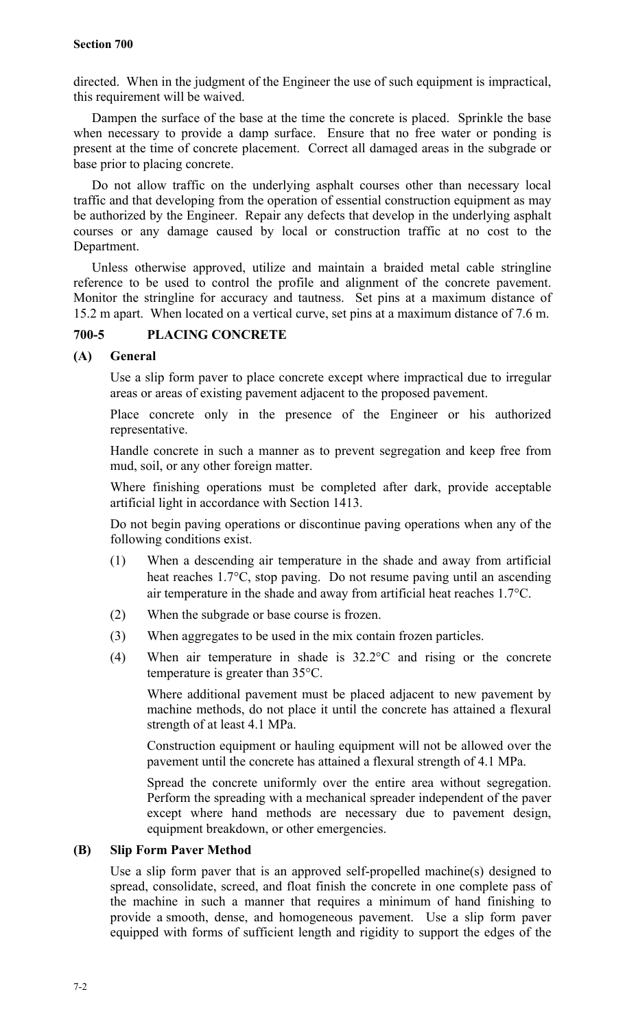directed. When in the judgment of the Engineer the use of such equipment is impractical, this requirement will be waived.

Dampen the surface of the base at the time the concrete is placed. Sprinkle the base when necessary to provide a damp surface. Ensure that no free water or ponding is present at the time of concrete placement. Correct all damaged areas in the subgrade or base prior to placing concrete.

Do not allow traffic on the underlying asphalt courses other than necessary local traffic and that developing from the operation of essential construction equipment as may be authorized by the Engineer. Repair any defects that develop in the underlying asphalt courses or any damage caused by local or construction traffic at no cost to the Department.

Unless otherwise approved, utilize and maintain a braided metal cable stringline reference to be used to control the profile and alignment of the concrete pavement. Monitor the stringline for accuracy and tautness. Set pins at a maximum distance of 15.2 m apart. When located on a vertical curve, set pins at a maximum distance of 7.6 m.

# **700-5 PLACING CONCRETE**

### **(A) General**

Use a slip form paver to place concrete except where impractical due to irregular areas or areas of existing pavement adjacent to the proposed pavement.

Place concrete only in the presence of the Engineer or his authorized representative.

Handle concrete in such a manner as to prevent segregation and keep free from mud, soil, or any other foreign matter.

Where finishing operations must be completed after dark, provide acceptable artificial light in accordance with Section 1413.

Do not begin paving operations or discontinue paving operations when any of the following conditions exist.

- (1) When a descending air temperature in the shade and away from artificial heat reaches 1.7°C, stop paving. Do not resume paving until an ascending air temperature in the shade and away from artificial heat reaches 1.7°C.
- (2) When the subgrade or base course is frozen.
- (3) When aggregates to be used in the mix contain frozen particles.
- (4) When air temperature in shade is 32.2°C and rising or the concrete temperature is greater than 35°C.

Where additional pavement must be placed adjacent to new pavement by machine methods, do not place it until the concrete has attained a flexural strength of at least 4.1 MPa.

Construction equipment or hauling equipment will not be allowed over the pavement until the concrete has attained a flexural strength of 4.1 MPa.

Spread the concrete uniformly over the entire area without segregation. Perform the spreading with a mechanical spreader independent of the paver except where hand methods are necessary due to pavement design, equipment breakdown, or other emergencies.

# **(B) Slip Form Paver Method**

Use a slip form paver that is an approved self-propelled machine(s) designed to spread, consolidate, screed, and float finish the concrete in one complete pass of the machine in such a manner that requires a minimum of hand finishing to provide a smooth, dense, and homogeneous pavement. Use a slip form paver equipped with forms of sufficient length and rigidity to support the edges of the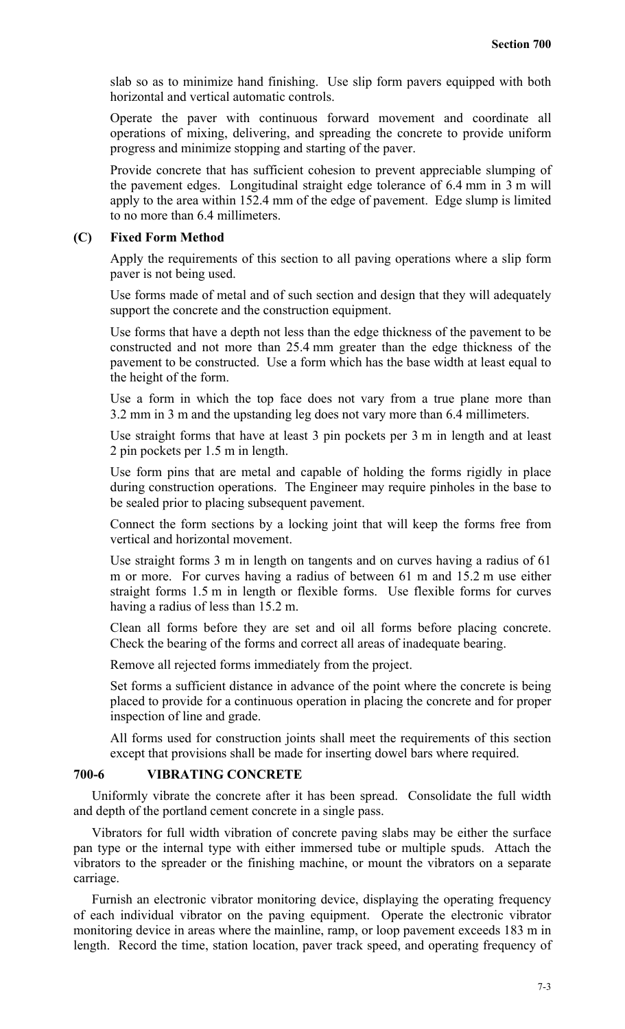slab so as to minimize hand finishing. Use slip form pavers equipped with both horizontal and vertical automatic controls.

Operate the paver with continuous forward movement and coordinate all operations of mixing, delivering, and spreading the concrete to provide uniform progress and minimize stopping and starting of the paver.

Provide concrete that has sufficient cohesion to prevent appreciable slumping of the pavement edges. Longitudinal straight edge tolerance of 6.4 mm in 3 m will apply to the area within 152.4 mm of the edge of pavement. Edge slump is limited to no more than 6.4 millimeters.

### **(C) Fixed Form Method**

Apply the requirements of this section to all paving operations where a slip form paver is not being used.

Use forms made of metal and of such section and design that they will adequately support the concrete and the construction equipment.

Use forms that have a depth not less than the edge thickness of the pavement to be constructed and not more than 25.4 mm greater than the edge thickness of the pavement to be constructed. Use a form which has the base width at least equal to the height of the form.

Use a form in which the top face does not vary from a true plane more than 3.2 mm in 3 m and the upstanding leg does not vary more than 6.4 millimeters.

Use straight forms that have at least 3 pin pockets per 3 m in length and at least 2 pin pockets per 1.5 m in length.

Use form pins that are metal and capable of holding the forms rigidly in place during construction operations. The Engineer may require pinholes in the base to be sealed prior to placing subsequent pavement.

Connect the form sections by a locking joint that will keep the forms free from vertical and horizontal movement.

Use straight forms 3 m in length on tangents and on curves having a radius of 61 m or more. For curves having a radius of between 61 m and 15.2 m use either straight forms 1.5 m in length or flexible forms. Use flexible forms for curves having a radius of less than 15.2 m.

Clean all forms before they are set and oil all forms before placing concrete. Check the bearing of the forms and correct all areas of inadequate bearing.

Remove all rejected forms immediately from the project.

Set forms a sufficient distance in advance of the point where the concrete is being placed to provide for a continuous operation in placing the concrete and for proper inspection of line and grade.

All forms used for construction joints shall meet the requirements of this section except that provisions shall be made for inserting dowel bars where required.

#### **700-6 VIBRATING CONCRETE**

Uniformly vibrate the concrete after it has been spread. Consolidate the full width and depth of the portland cement concrete in a single pass.

Vibrators for full width vibration of concrete paving slabs may be either the surface pan type or the internal type with either immersed tube or multiple spuds. Attach the vibrators to the spreader or the finishing machine, or mount the vibrators on a separate carriage.

Furnish an electronic vibrator monitoring device, displaying the operating frequency of each individual vibrator on the paving equipment. Operate the electronic vibrator monitoring device in areas where the mainline, ramp, or loop pavement exceeds 183 m in length. Record the time, station location, paver track speed, and operating frequency of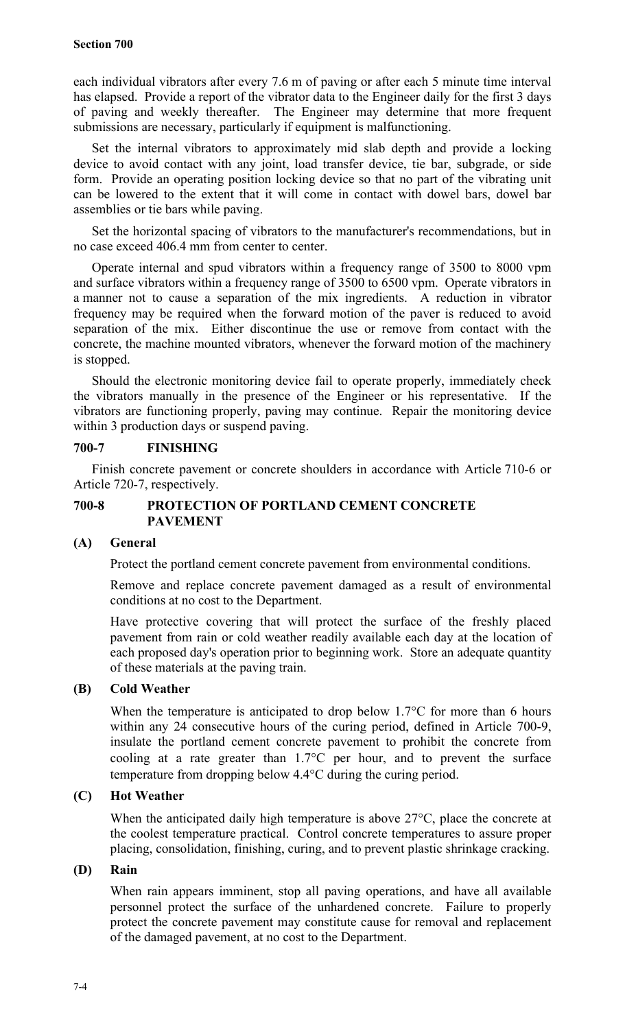each individual vibrators after every 7.6 m of paving or after each 5 minute time interval has elapsed. Provide a report of the vibrator data to the Engineer daily for the first 3 days of paving and weekly thereafter. The Engineer may determine that more frequent submissions are necessary, particularly if equipment is malfunctioning.

Set the internal vibrators to approximately mid slab depth and provide a locking device to avoid contact with any joint, load transfer device, tie bar, subgrade, or side form. Provide an operating position locking device so that no part of the vibrating unit can be lowered to the extent that it will come in contact with dowel bars, dowel bar assemblies or tie bars while paving.

Set the horizontal spacing of vibrators to the manufacturer's recommendations, but in no case exceed 406.4 mm from center to center.

Operate internal and spud vibrators within a frequency range of 3500 to 8000 vpm and surface vibrators within a frequency range of 3500 to 6500 vpm. Operate vibrators in a manner not to cause a separation of the mix ingredients. A reduction in vibrator frequency may be required when the forward motion of the paver is reduced to avoid separation of the mix. Either discontinue the use or remove from contact with the concrete, the machine mounted vibrators, whenever the forward motion of the machinery is stopped.

Should the electronic monitoring device fail to operate properly, immediately check the vibrators manually in the presence of the Engineer or his representative. If the vibrators are functioning properly, paving may continue. Repair the monitoring device within 3 production days or suspend paving.

# **700-7 FINISHING**

Finish concrete pavement or concrete shoulders in accordance with Article 710-6 or Article 720-7, respectively.

# **700-8 PROTECTION OF PORTLAND CEMENT CONCRETE PAVEMENT**

# **(A) General**

Protect the portland cement concrete pavement from environmental conditions.

Remove and replace concrete pavement damaged as a result of environmental conditions at no cost to the Department.

Have protective covering that will protect the surface of the freshly placed pavement from rain or cold weather readily available each day at the location of each proposed day's operation prior to beginning work. Store an adequate quantity of these materials at the paving train.

# **(B) Cold Weather**

When the temperature is anticipated to drop below 1.7<sup>o</sup>C for more than 6 hours within any 24 consecutive hours of the curing period, defined in Article 700-9, insulate the portland cement concrete pavement to prohibit the concrete from cooling at a rate greater than 1.7°C per hour, and to prevent the surface temperature from dropping below 4.4°C during the curing period.

# **(C) Hot Weather**

When the anticipated daily high temperature is above 27<sup>o</sup>C, place the concrete at the coolest temperature practical. Control concrete temperatures to assure proper placing, consolidation, finishing, curing, and to prevent plastic shrinkage cracking.

# **(D) Rain**

When rain appears imminent, stop all paving operations, and have all available personnel protect the surface of the unhardened concrete. Failure to properly protect the concrete pavement may constitute cause for removal and replacement of the damaged pavement, at no cost to the Department.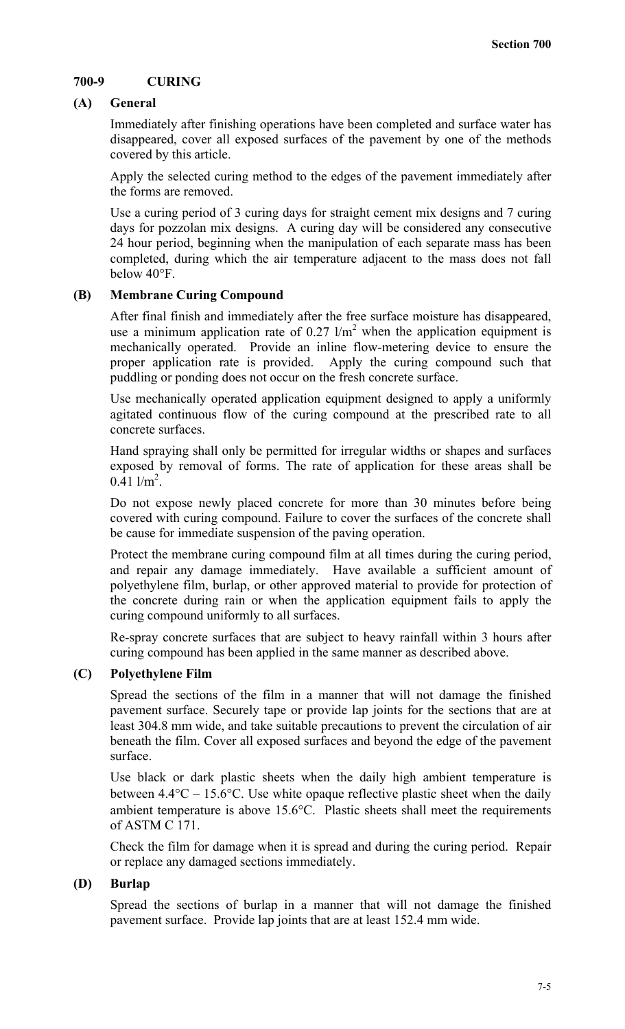# **700-9 CURING**

# **(A) General**

Immediately after finishing operations have been completed and surface water has disappeared, cover all exposed surfaces of the pavement by one of the methods covered by this article.

Apply the selected curing method to the edges of the pavement immediately after the forms are removed.

Use a curing period of 3 curing days for straight cement mix designs and 7 curing days for pozzolan mix designs. A curing day will be considered any consecutive 24 hour period, beginning when the manipulation of each separate mass has been completed, during which the air temperature adjacent to the mass does not fall below 40°F.

### **(B) Membrane Curing Compound**

After final finish and immediately after the free surface moisture has disappeared, use a minimum application rate of  $0.27 \frac{1}{m^2}$  when the application equipment is mechanically operated. Provide an inline flow-metering device to ensure the proper application rate is provided. Apply the curing compound such that Apply the curing compound such that puddling or ponding does not occur on the fresh concrete surface.

Use mechanically operated application equipment designed to apply a uniformly agitated continuous flow of the curing compound at the prescribed rate to all concrete surfaces.

Hand spraying shall only be permitted for irregular widths or shapes and surfaces exposed by removal of forms. The rate of application for these areas shall be  $0.\overline{4}1$  l/m<sup>2</sup>.

Do not expose newly placed concrete for more than 30 minutes before being covered with curing compound. Failure to cover the surfaces of the concrete shall be cause for immediate suspension of the paving operation.

Protect the membrane curing compound film at all times during the curing period, and repair any damage immediately. Have available a sufficient amount of polyethylene film, burlap, or other approved material to provide for protection of the concrete during rain or when the application equipment fails to apply the curing compound uniformly to all surfaces.

Re-spray concrete surfaces that are subject to heavy rainfall within 3 hours after curing compound has been applied in the same manner as described above.

#### **(C) Polyethylene Film**

Spread the sections of the film in a manner that will not damage the finished pavement surface. Securely tape or provide lap joints for the sections that are at least 304.8 mm wide, and take suitable precautions to prevent the circulation of air beneath the film. Cover all exposed surfaces and beyond the edge of the pavement surface.

Use black or dark plastic sheets when the daily high ambient temperature is between  $4.4^{\circ}\text{C} - 15.6^{\circ}\text{C}$ . Use white opaque reflective plastic sheet when the daily ambient temperature is above 15.6°C. Plastic sheets shall meet the requirements of ASTM C 171.

Check the film for damage when it is spread and during the curing period. Repair or replace any damaged sections immediately.

# **(D) Burlap**

Spread the sections of burlap in a manner that will not damage the finished pavement surface. Provide lap joints that are at least 152.4 mm wide.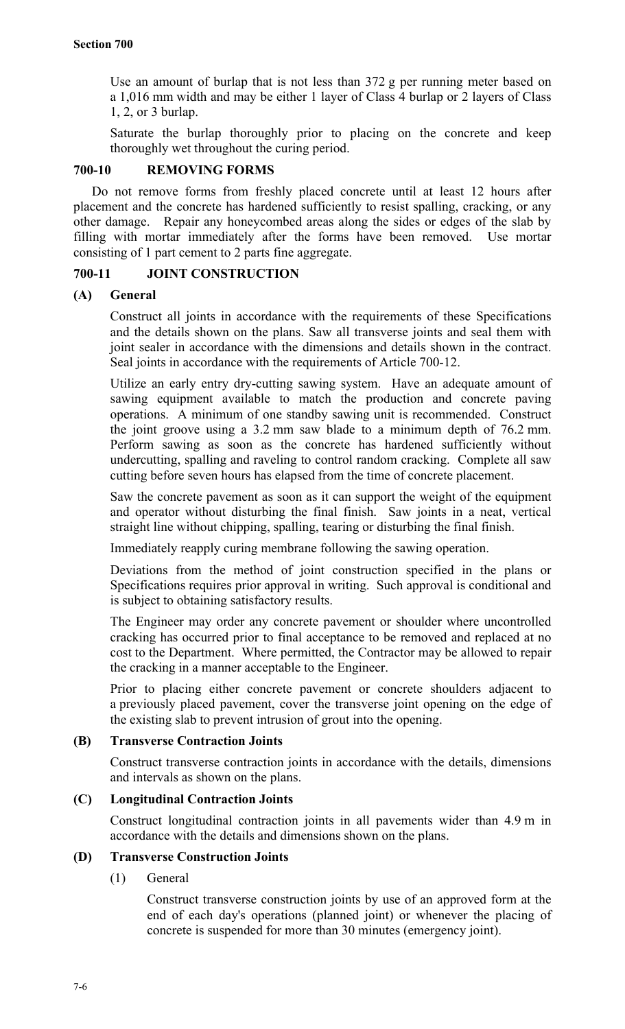Use an amount of burlap that is not less than 372 g per running meter based on a 1,016 mm width and may be either 1 layer of Class 4 burlap or 2 layers of Class 1, 2, or 3 burlap.

Saturate the burlap thoroughly prior to placing on the concrete and keep thoroughly wet throughout the curing period.

## **700-10 REMOVING FORMS**

Do not remove forms from freshly placed concrete until at least 12 hours after placement and the concrete has hardened sufficiently to resist spalling, cracking, or any other damage. Repair any honeycombed areas along the sides or edges of the slab by filling with mortar immediately after the forms have been removed. Use mortar consisting of 1 part cement to 2 parts fine aggregate.

### **700-11 JOINT CONSTRUCTION**

### **(A) General**

Construct all joints in accordance with the requirements of these Specifications and the details shown on the plans. Saw all transverse joints and seal them with joint sealer in accordance with the dimensions and details shown in the contract. Seal joints in accordance with the requirements of Article 700-12.

Utilize an early entry dry-cutting sawing system. Have an adequate amount of sawing equipment available to match the production and concrete paving operations. A minimum of one standby sawing unit is recommended. Construct the joint groove using a 3.2 mm saw blade to a minimum depth of 76.2 mm. Perform sawing as soon as the concrete has hardened sufficiently without undercutting, spalling and raveling to control random cracking. Complete all saw cutting before seven hours has elapsed from the time of concrete placement.

Saw the concrete pavement as soon as it can support the weight of the equipment and operator without disturbing the final finish. Saw joints in a neat, vertical straight line without chipping, spalling, tearing or disturbing the final finish.

Immediately reapply curing membrane following the sawing operation.

Deviations from the method of joint construction specified in the plans or Specifications requires prior approval in writing. Such approval is conditional and is subject to obtaining satisfactory results.

The Engineer may order any concrete pavement or shoulder where uncontrolled cracking has occurred prior to final acceptance to be removed and replaced at no cost to the Department. Where permitted, the Contractor may be allowed to repair the cracking in a manner acceptable to the Engineer.

Prior to placing either concrete pavement or concrete shoulders adjacent to a previously placed pavement, cover the transverse joint opening on the edge of the existing slab to prevent intrusion of grout into the opening.

# **(B) Transverse Contraction Joints**

Construct transverse contraction joints in accordance with the details, dimensions and intervals as shown on the plans.

# **(C) Longitudinal Contraction Joints**

Construct longitudinal contraction joints in all pavements wider than 4.9 m in accordance with the details and dimensions shown on the plans.

# **(D) Transverse Construction Joints**

# (1) General

Construct transverse construction joints by use of an approved form at the end of each day's operations (planned joint) or whenever the placing of concrete is suspended for more than 30 minutes (emergency joint).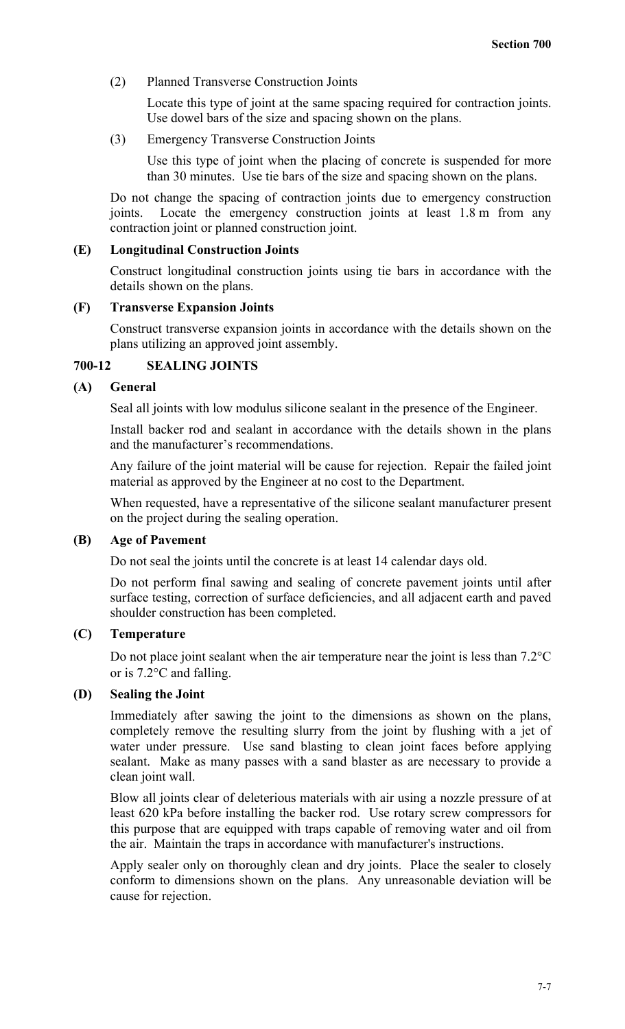(2) Planned Transverse Construction Joints

Locate this type of joint at the same spacing required for contraction joints. Use dowel bars of the size and spacing shown on the plans.

(3) Emergency Transverse Construction Joints

Use this type of joint when the placing of concrete is suspended for more than 30 minutes. Use tie bars of the size and spacing shown on the plans.

Do not change the spacing of contraction joints due to emergency construction joints. Locate the emergency construction joints at least 1.8 m from any contraction joint or planned construction joint.

#### **(E) Longitudinal Construction Joints**

Construct longitudinal construction joints using tie bars in accordance with the details shown on the plans.

#### **(F) Transverse Expansion Joints**

Construct transverse expansion joints in accordance with the details shown on the plans utilizing an approved joint assembly.

# **700-12 SEALING JOINTS**

## **(A) General**

Seal all joints with low modulus silicone sealant in the presence of the Engineer.

Install backer rod and sealant in accordance with the details shown in the plans and the manufacturer's recommendations.

Any failure of the joint material will be cause for rejection. Repair the failed joint material as approved by the Engineer at no cost to the Department.

When requested, have a representative of the silicone sealant manufacturer present on the project during the sealing operation.

## **(B) Age of Pavement**

Do not seal the joints until the concrete is at least 14 calendar days old.

Do not perform final sawing and sealing of concrete pavement joints until after surface testing, correction of surface deficiencies, and all adjacent earth and paved shoulder construction has been completed.

#### **(C) Temperature**

Do not place joint sealant when the air temperature near the joint is less than 7.2°C or is 7.2°C and falling.

## **(D) Sealing the Joint**

Immediately after sawing the joint to the dimensions as shown on the plans, completely remove the resulting slurry from the joint by flushing with a jet of water under pressure. Use sand blasting to clean joint faces before applying sealant. Make as many passes with a sand blaster as are necessary to provide a clean joint wall.

Blow all joints clear of deleterious materials with air using a nozzle pressure of at least 620 kPa before installing the backer rod. Use rotary screw compressors for this purpose that are equipped with traps capable of removing water and oil from the air. Maintain the traps in accordance with manufacturer's instructions.

Apply sealer only on thoroughly clean and dry joints. Place the sealer to closely conform to dimensions shown on the plans. Any unreasonable deviation will be cause for rejection.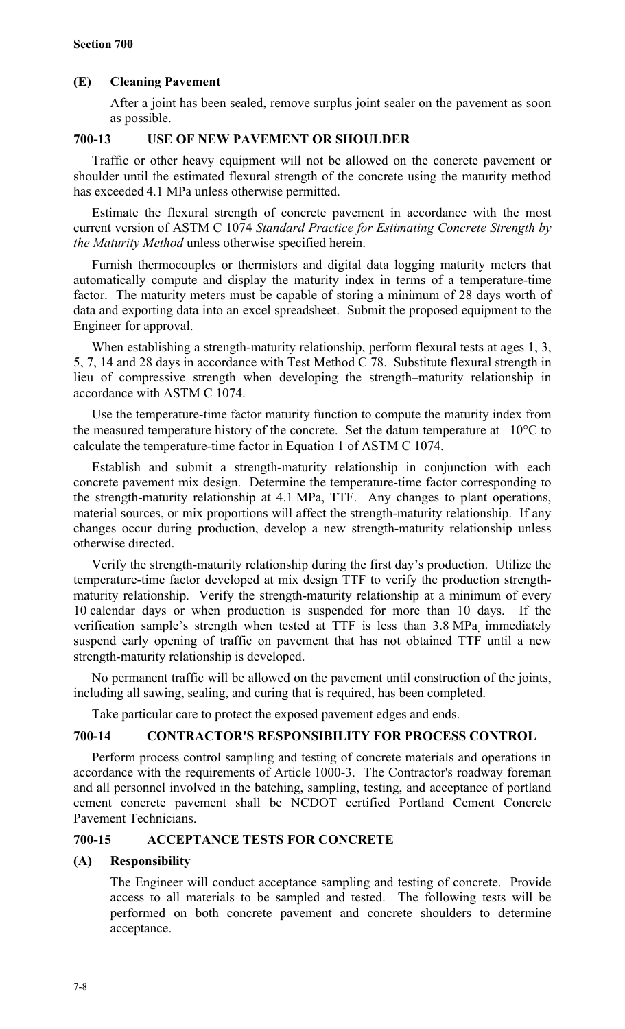# **(E) Cleaning Pavement**

After a joint has been sealed, remove surplus joint sealer on the pavement as soon as possible.

# **700-13 USE OF NEW PAVEMENT OR SHOULDER**

Traffic or other heavy equipment will not be allowed on the concrete pavement or shoulder until the estimated flexural strength of the concrete using the maturity method has exceeded 4.1 MPa unless otherwise permitted.

Estimate the flexural strength of concrete pavement in accordance with the most current version of ASTM C 1074 *Standard Practice for Estimating Concrete Strength by the Maturity Method* unless otherwise specified herein.

Furnish thermocouples or thermistors and digital data logging maturity meters that automatically compute and display the maturity index in terms of a temperature-time factor. The maturity meters must be capable of storing a minimum of 28 days worth of data and exporting data into an excel spreadsheet. Submit the proposed equipment to the Engineer for approval.

When establishing a strength-maturity relationship, perform flexural tests at ages 1, 3, 5, 7, 14 and 28 days in accordance with Test Method C 78. Substitute flexural strength in lieu of compressive strength when developing the strength–maturity relationship in accordance with ASTM C 1074.

Use the temperature-time factor maturity function to compute the maturity index from the measured temperature history of the concrete. Set the datum temperature at  $-10^{\circ}$ C to calculate the temperature-time factor in Equation 1 of ASTM C 1074.

Establish and submit a strength-maturity relationship in conjunction with each concrete pavement mix design. Determine the temperature-time factor corresponding to the strength-maturity relationship at 4.1 MPa, TTF. Any changes to plant operations, material sources, or mix proportions will affect the strength-maturity relationship. If any changes occur during production, develop a new strength-maturity relationship unless otherwise directed.

Verify the strength-maturity relationship during the first day's production. Utilize the temperature-time factor developed at mix design TTF to verify the production strengthmaturity relationship. Verify the strength-maturity relationship at a minimum of every 10 calendar days or when production is suspended for more than 10 days. If the verification sample's strength when tested at TTF is less than 3.8 MPa, immediately suspend early opening of traffic on pavement that has not obtained TTF until a new strength-maturity relationship is developed.

No permanent traffic will be allowed on the pavement until construction of the joints, including all sawing, sealing, and curing that is required, has been completed.

Take particular care to protect the exposed pavement edges and ends.

# **700-14 CONTRACTOR'S RESPONSIBILITY FOR PROCESS CONTROL**

Perform process control sampling and testing of concrete materials and operations in accordance with the requirements of Article 1000-3. The Contractor's roadway foreman and all personnel involved in the batching, sampling, testing, and acceptance of portland cement concrete pavement shall be NCDOT certified Portland Cement Concrete Pavement Technicians.

# **700-15 ACCEPTANCE TESTS FOR CONCRETE**

# **(A) Responsibility**

The Engineer will conduct acceptance sampling and testing of concrete. Provide access to all materials to be sampled and tested. The following tests will be performed on both concrete pavement and concrete shoulders to determine acceptance.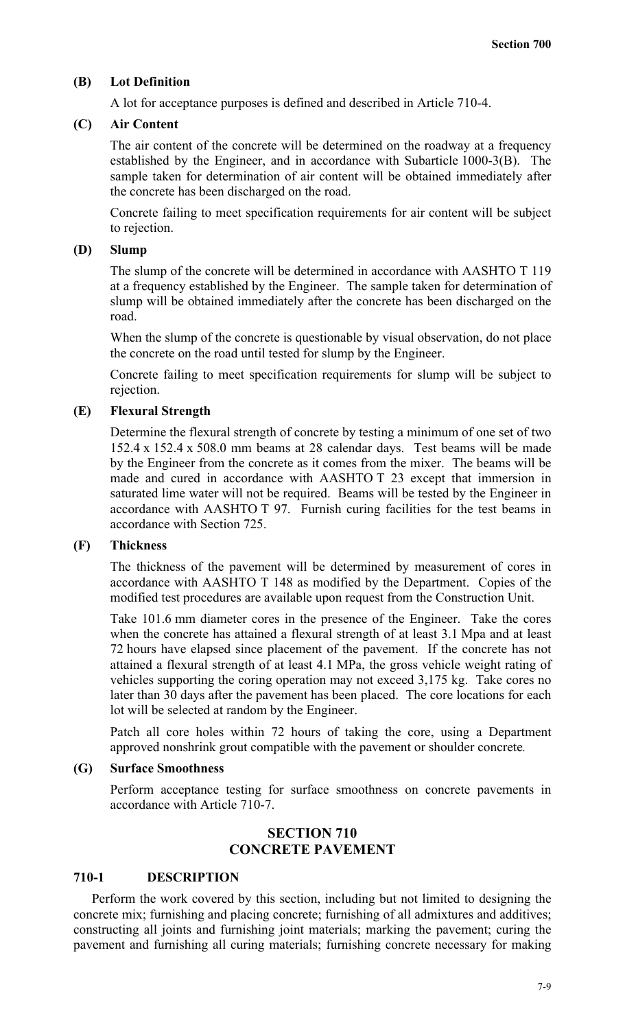#### **(B) Lot Definition**

A lot for acceptance purposes is defined and described in Article 710-4.

### **(C) Air Content**

The air content of the concrete will be determined on the roadway at a frequency established by the Engineer, and in accordance with Subarticle 1000-3(B). The sample taken for determination of air content will be obtained immediately after the concrete has been discharged on the road.

Concrete failing to meet specification requirements for air content will be subject to rejection.

## **(D) Slump**

The slump of the concrete will be determined in accordance with AASHTO T 119 at a frequency established by the Engineer. The sample taken for determination of slump will be obtained immediately after the concrete has been discharged on the road.

When the slump of the concrete is questionable by visual observation, do not place the concrete on the road until tested for slump by the Engineer.

Concrete failing to meet specification requirements for slump will be subject to rejection.

#### **(E) Flexural Strength**

Determine the flexural strength of concrete by testing a minimum of one set of two 152.4 x 152.4 x 508.0 mm beams at 28 calendar days. Test beams will be made by the Engineer from the concrete as it comes from the mixer. The beams will be made and cured in accordance with AASHTO T 23 except that immersion in saturated lime water will not be required. Beams will be tested by the Engineer in accordance with AASHTO T 97. Furnish curing facilities for the test beams in accordance with Section 725.

#### **(F) Thickness**

The thickness of the pavement will be determined by measurement of cores in accordance with AASHTO T 148 as modified by the Department. Copies of the modified test procedures are available upon request from the Construction Unit.

Take 101.6 mm diameter cores in the presence of the Engineer. Take the cores when the concrete has attained a flexural strength of at least 3.1 Mpa and at least 72 hours have elapsed since placement of the pavement. If the concrete has not attained a flexural strength of at least 4.1 MPa, the gross vehicle weight rating of vehicles supporting the coring operation may not exceed 3,175 kg. Take cores no later than 30 days after the pavement has been placed. The core locations for each lot will be selected at random by the Engineer.

Patch all core holes within 72 hours of taking the core, using a Department approved nonshrink grout compatible with the pavement or shoulder concrete*.*

#### **(G) Surface Smoothness**

Perform acceptance testing for surface smoothness on concrete pavements in accordance with Article 710-7.

## **SECTION 710 CONCRETE PAVEMENT**

### **710-1 DESCRIPTION**

Perform the work covered by this section, including but not limited to designing the concrete mix; furnishing and placing concrete; furnishing of all admixtures and additives; constructing all joints and furnishing joint materials; marking the pavement; curing the pavement and furnishing all curing materials; furnishing concrete necessary for making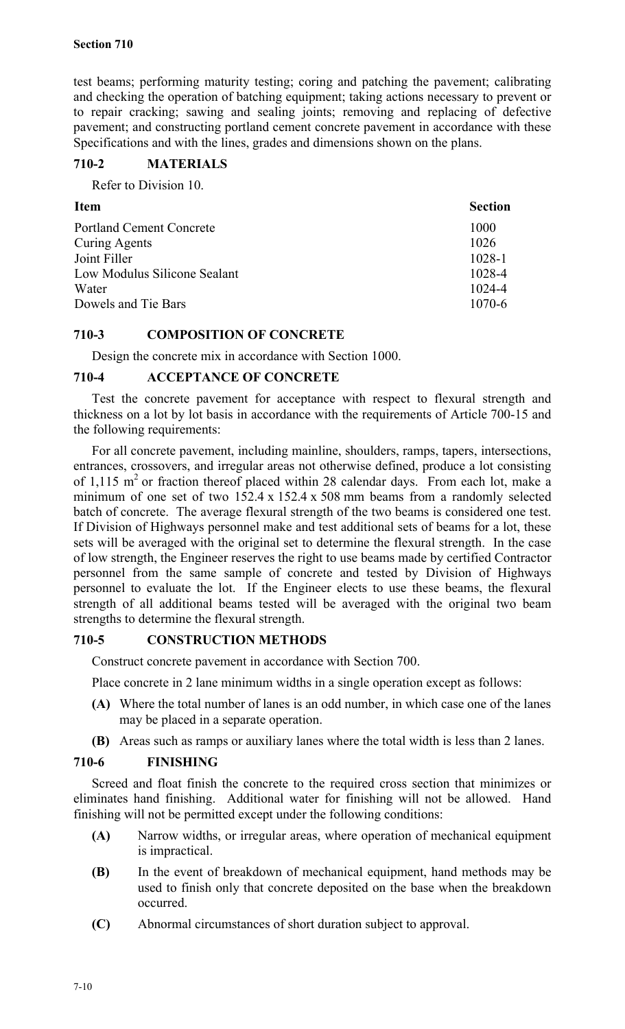test beams; performing maturity testing; coring and patching the pavement; calibrating and checking the operation of batching equipment; taking actions necessary to prevent or to repair cracking; sawing and sealing joints; removing and replacing of defective pavement; and constructing portland cement concrete pavement in accordance with these Specifications and with the lines, grades and dimensions shown on the plans.

# **710-2 MATERIALS**

Refer to Division 10.

| <b>Item</b>                     | <b>Section</b> |
|---------------------------------|----------------|
| <b>Portland Cement Concrete</b> | 1000           |
| <b>Curing Agents</b>            | 1026           |
| Joint Filler                    | 1028-1         |
| Low Modulus Silicone Sealant    | 1028-4         |
| Water                           | 1024-4         |
| Dowels and Tie Bars             | 1070-6         |

# **710-3 COMPOSITION OF CONCRETE**

Design the concrete mix in accordance with Section 1000.

# **710-4 ACCEPTANCE OF CONCRETE**

Test the concrete pavement for acceptance with respect to flexural strength and thickness on a lot by lot basis in accordance with the requirements of Article 700-15 and the following requirements:

For all concrete pavement, including mainline, shoulders, ramps, tapers, intersections, entrances, crossovers, and irregular areas not otherwise defined, produce a lot consisting of 1,115  $m<sup>2</sup>$  or fraction thereof placed within 28 calendar days. From each lot, make a minimum of one set of two 152.4 x 152.4 x 508 mm beams from a randomly selected batch of concrete. The average flexural strength of the two beams is considered one test. If Division of Highways personnel make and test additional sets of beams for a lot, these sets will be averaged with the original set to determine the flexural strength. In the case of low strength, the Engineer reserves the right to use beams made by certified Contractor personnel from the same sample of concrete and tested by Division of Highways personnel to evaluate the lot. If the Engineer elects to use these beams, the flexural strength of all additional beams tested will be averaged with the original two beam strengths to determine the flexural strength.

# **710-5 CONSTRUCTION METHODS**

Construct concrete pavement in accordance with Section 700.

Place concrete in 2 lane minimum widths in a single operation except as follows:

- **(A)** Where the total number of lanes is an odd number, in which case one of the lanes may be placed in a separate operation.
- **(B)** Areas such as ramps or auxiliary lanes where the total width is less than 2 lanes.

# **710-6 FINISHING**

Screed and float finish the concrete to the required cross section that minimizes or eliminates hand finishing. Additional water for finishing will not be allowed. Hand finishing will not be permitted except under the following conditions:

- **(A)** Narrow widths, or irregular areas, where operation of mechanical equipment is impractical.
- **(B)** In the event of breakdown of mechanical equipment, hand methods may be used to finish only that concrete deposited on the base when the breakdown occurred.
- **(C)** Abnormal circumstances of short duration subject to approval.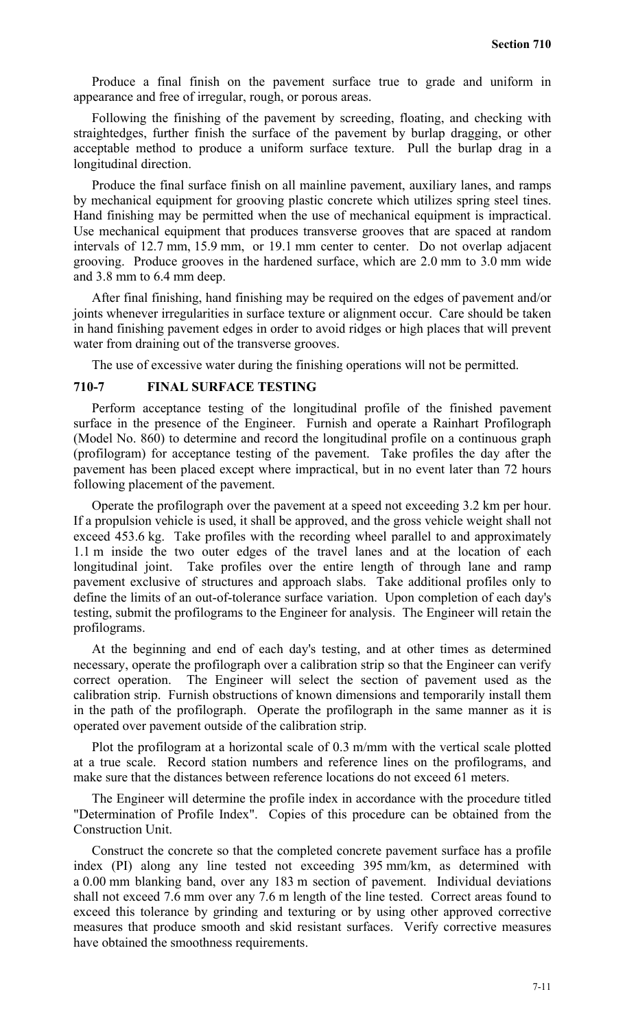Produce a final finish on the pavement surface true to grade and uniform in appearance and free of irregular, rough, or porous areas.

Following the finishing of the pavement by screeding, floating, and checking with straightedges, further finish the surface of the pavement by burlap dragging, or other acceptable method to produce a uniform surface texture. Pull the burlap drag in a longitudinal direction.

Produce the final surface finish on all mainline pavement, auxiliary lanes, and ramps by mechanical equipment for grooving plastic concrete which utilizes spring steel tines. Hand finishing may be permitted when the use of mechanical equipment is impractical. Use mechanical equipment that produces transverse grooves that are spaced at random intervals of 12.7 mm, 15.9 mm, or 19.1 mm center to center. Do not overlap adjacent grooving. Produce grooves in the hardened surface, which are 2.0 mm to 3.0 mm wide and 3.8 mm to 6.4 mm deep.

After final finishing, hand finishing may be required on the edges of pavement and/or joints whenever irregularities in surface texture or alignment occur. Care should be taken in hand finishing pavement edges in order to avoid ridges or high places that will prevent water from draining out of the transverse grooves.

The use of excessive water during the finishing operations will not be permitted.

#### **710-7 FINAL SURFACE TESTING**

Perform acceptance testing of the longitudinal profile of the finished pavement surface in the presence of the Engineer. Furnish and operate a Rainhart Profilograph (Model No. 860) to determine and record the longitudinal profile on a continuous graph (profilogram) for acceptance testing of the pavement. Take profiles the day after the pavement has been placed except where impractical, but in no event later than 72 hours following placement of the pavement.

Operate the profilograph over the pavement at a speed not exceeding 3.2 km per hour. If a propulsion vehicle is used, it shall be approved, and the gross vehicle weight shall not exceed 453.6 kg. Take profiles with the recording wheel parallel to and approximately 1.1 m inside the two outer edges of the travel lanes and at the location of each longitudinal joint. Take profiles over the entire length of through lane and ramp pavement exclusive of structures and approach slabs. Take additional profiles only to define the limits of an out-of-tolerance surface variation. Upon completion of each day's testing, submit the profilograms to the Engineer for analysis. The Engineer will retain the profilograms.

At the beginning and end of each day's testing, and at other times as determined necessary, operate the profilograph over a calibration strip so that the Engineer can verify correct operation. The Engineer will select the section of pavement used as the calibration strip. Furnish obstructions of known dimensions and temporarily install them in the path of the profilograph. Operate the profilograph in the same manner as it is operated over pavement outside of the calibration strip.

Plot the profilogram at a horizontal scale of 0.3 m/mm with the vertical scale plotted at a true scale. Record station numbers and reference lines on the profilograms, and make sure that the distances between reference locations do not exceed 61 meters.

The Engineer will determine the profile index in accordance with the procedure titled "Determination of Profile Index". Copies of this procedure can be obtained from the Construction Unit.

Construct the concrete so that the completed concrete pavement surface has a profile index (PI) along any line tested not exceeding 395 mm/km, as determined with a 0.00 mm blanking band, over any 183 m section of pavement. Individual deviations shall not exceed 7.6 mm over any 7.6 m length of the line tested. Correct areas found to exceed this tolerance by grinding and texturing or by using other approved corrective measures that produce smooth and skid resistant surfaces. Verify corrective measures have obtained the smoothness requirements.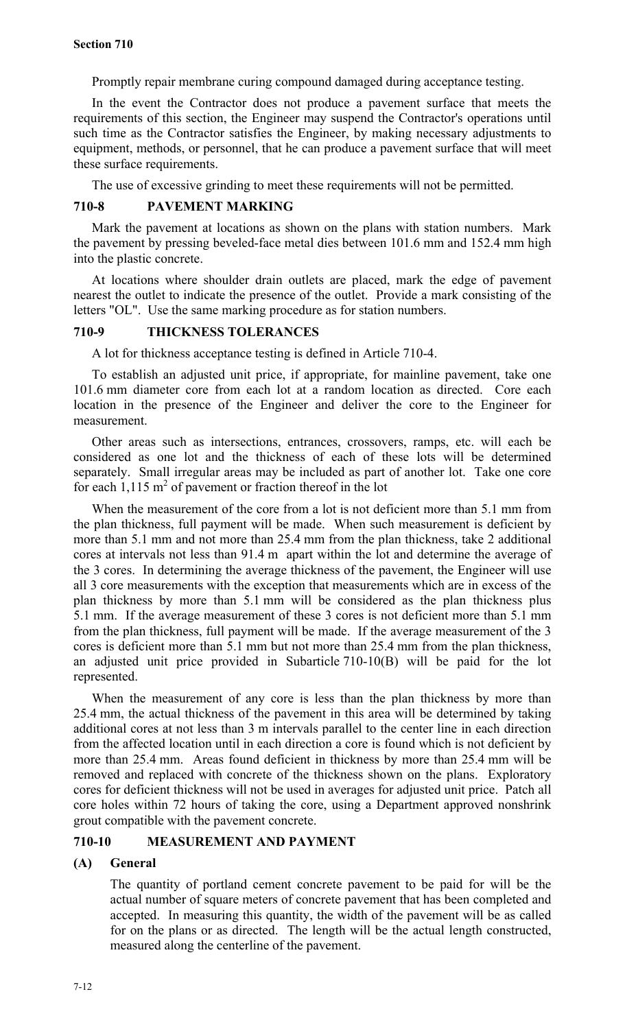Promptly repair membrane curing compound damaged during acceptance testing.

In the event the Contractor does not produce a pavement surface that meets the requirements of this section, the Engineer may suspend the Contractor's operations until such time as the Contractor satisfies the Engineer, by making necessary adjustments to equipment, methods, or personnel, that he can produce a pavement surface that will meet these surface requirements.

The use of excessive grinding to meet these requirements will not be permitted.

### **710-8 PAVEMENT MARKING**

Mark the pavement at locations as shown on the plans with station numbers. Mark the pavement by pressing beveled-face metal dies between 101.6 mm and 152.4 mm high into the plastic concrete.

At locations where shoulder drain outlets are placed, mark the edge of pavement nearest the outlet to indicate the presence of the outlet. Provide a mark consisting of the letters "OL". Use the same marking procedure as for station numbers.

### **710-9 THICKNESS TOLERANCES**

A lot for thickness acceptance testing is defined in Article 710-4.

To establish an adjusted unit price, if appropriate, for mainline pavement, take one 101.6 mm diameter core from each lot at a random location as directed. Core each location in the presence of the Engineer and deliver the core to the Engineer for measurement.

Other areas such as intersections, entrances, crossovers, ramps, etc. will each be considered as one lot and the thickness of each of these lots will be determined separately. Small irregular areas may be included as part of another lot. Take one core for each  $1,115 \text{ m}^2$  of pavement or fraction thereof in the lot

When the measurement of the core from a lot is not deficient more than 5.1 mm from the plan thickness, full payment will be made. When such measurement is deficient by more than 5.1 mm and not more than 25.4 mm from the plan thickness, take 2 additional cores at intervals not less than 91.4 m apart within the lot and determine the average of the 3 cores. In determining the average thickness of the pavement, the Engineer will use all 3 core measurements with the exception that measurements which are in excess of the plan thickness by more than 5.1 mm will be considered as the plan thickness plus 5.1 mm. If the average measurement of these 3 cores is not deficient more than 5.1 mm from the plan thickness, full payment will be made. If the average measurement of the 3 cores is deficient more than 5.1 mm but not more than 25.4 mm from the plan thickness, an adjusted unit price provided in Subarticle 710-10(B) will be paid for the lot represented.

When the measurement of any core is less than the plan thickness by more than 25.4 mm, the actual thickness of the pavement in this area will be determined by taking additional cores at not less than 3 m intervals parallel to the center line in each direction from the affected location until in each direction a core is found which is not deficient by more than 25.4 mm. Areas found deficient in thickness by more than 25.4 mm will be removed and replaced with concrete of the thickness shown on the plans. Exploratory cores for deficient thickness will not be used in averages for adjusted unit price. Patch all core holes within 72 hours of taking the core, using a Department approved nonshrink grout compatible with the pavement concrete.

# **710-10 MEASUREMENT AND PAYMENT**

# **(A) General**

The quantity of portland cement concrete pavement to be paid for will be the actual number of square meters of concrete pavement that has been completed and accepted. In measuring this quantity, the width of the pavement will be as called for on the plans or as directed. The length will be the actual length constructed, measured along the centerline of the pavement.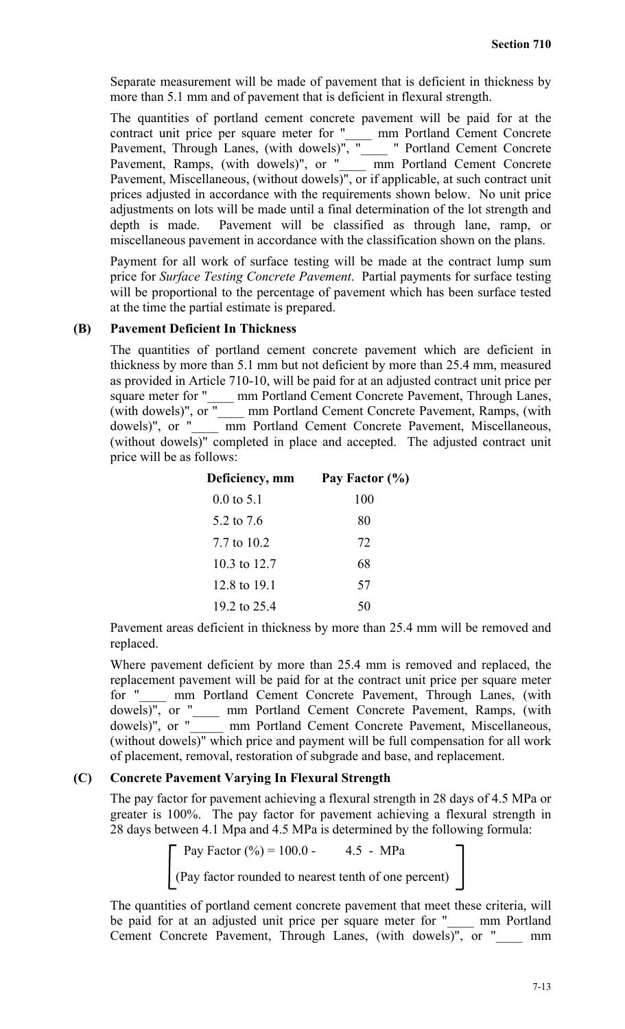Separate measurement will be made of pavement that is deficient in thickness by more than 5.1 mm and of pavement that is deficient in flexural strength.

The quantities of portland cement concrete pavement will be paid for at the contract unit price per square meter for "\_\_\_\_ mm Portland Cement Concrete Pavement, Through Lanes, (with dowels)", " \_\_\_ " Portland Cement Concrete Pavement, Ramps, (with dowels)", or "\_\_\_\_ mm Portland Cement Concrete Pavement, Miscellaneous, (without dowels)", or if applicable, at such contract unit prices adjusted in accordance with the requirements shown below. No unit price adjustments on lots will be made until a final determination of the lot strength and depth is made. Pavement will be classified as through lane, ramp, or miscellaneous pavement in accordance with the classification shown on the plans.

Payment for all work of surface testing will be made at the contract lump sum price for *Surface Testing Concrete Pavement*. Partial payments for surface testing will be proportional to the percentage of pavement which has been surface tested at the time the partial estimate is prepared.

### **(B) Pavement Deficient In Thickness**

The quantities of portland cement concrete pavement which are deficient in thickness by more than 5.1 mm but not deficient by more than 25.4 mm, measured as provided in Article 710-10, will be paid for at an adjusted contract unit price per square meter for "
square meter for "
strain Portland Cement Concrete Pavement, Through Lanes, (with dowels)", or "\_\_\_\_ mm Portland Cement Concrete Pavement, Ramps, (with dowels)", or " mm Portland Cement Concrete Pavement, Miscellaneous, (without dowels)" completed in place and accepted. The adjusted contract unit price will be as follows:

| Deficiency, mm        | Pay Factor (%) |
|-----------------------|----------------|
| $0.0 \text{ to } 5.1$ | 100            |
| 5.2 to 7.6            | 80             |
| 7.7 to 10.2           | 72             |
| 10.3 to 12.7          | 68             |
| 12.8 to 19.1          | 57             |
| 19.2 to 25.4          |                |

Pavement areas deficient in thickness by more than 25.4 mm will be removed and replaced.

Where pavement deficient by more than 25.4 mm is removed and replaced, the replacement pavement will be paid for at the contract unit price per square meter<br>for " mm Portland Cement Concrete Pavement. Through Lanes. (with mm Portland Cement Concrete Pavement, Through Lanes, (with dowels)", or "\_\_\_\_ mm Portland Cement Concrete Pavement, Ramps, (with mm Portland Cement Concrete Pavement, Miscellaneous, (without dowels)" which price and payment will be full compensation for all work of placement, removal, restoration of subgrade and base, and replacement.

# **(C) Concrete Pavement Varying In Flexural Strength**

The pay factor for pavement achieving a flexural strength in 28 days of 4.5 MPa or greater is 100%. The pay factor for pavement achieving a flexural strength in 28 days between 4.1 Mpa and 4.5 MPa is determined by the following formula:

> Pay Factor  $(\%)=100.0 - 4.5 - MPa$ (Pay factor rounded to nearest tenth of one percent)

The quantities of portland cement concrete pavement that meet these criteria, will be paid for at an adjusted unit price per square meter for "\_\_\_\_ mm Portland Cement Concrete Pavement, Through Lanes, (with dowels)", or "\_\_\_\_ mm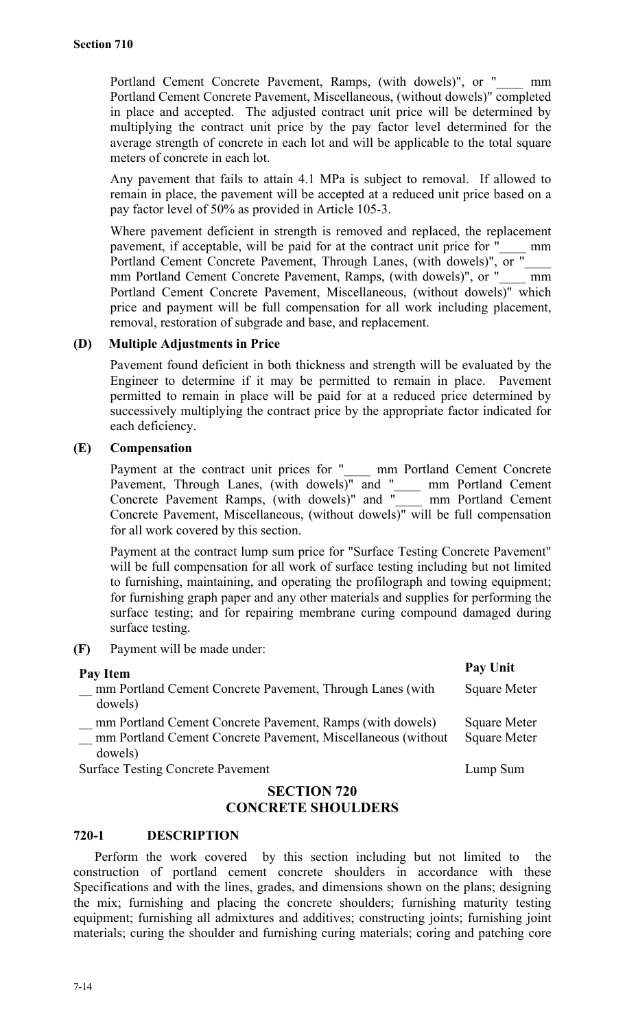Portland Cement Concrete Pavement, Ramps, (with dowels)", or " mm Portland Cement Concrete Pavement, Miscellaneous, (without dowels)" completed in place and accepted. The adjusted contract unit price will be determined by multiplying the contract unit price by the pay factor level determined for the average strength of concrete in each lot and will be applicable to the total square meters of concrete in each lot.

Any pavement that fails to attain 4.1 MPa is subject to removal. If allowed to remain in place, the pavement will be accepted at a reduced unit price based on a pay factor level of 50% as provided in Article 105-3.

Where pavement deficient in strength is removed and replaced, the replacement pavement, if acceptable, will be paid for at the contract unit price for "\_\_\_\_ mm Portland Cement Concrete Pavement, Through Lanes, (with dowels)", or " mm Portland Cement Concrete Pavement, Ramps, (with dowels)", or "\_\_\_\_ mm Portland Cement Concrete Pavement, Miscellaneous, (without dowels)" which price and payment will be full compensation for all work including placement, removal, restoration of subgrade and base, and replacement.

### **(D) Multiple Adjustments in Price**

Pavement found deficient in both thickness and strength will be evaluated by the Engineer to determine if it may be permitted to remain in place. Pavement permitted to remain in place will be paid for at a reduced price determined by successively multiplying the contract price by the appropriate factor indicated for each deficiency.

# **(E) Compensation**

Payment at the contract unit prices for "\_\_\_\_\_ mm Portland Cement Concrete Pavement, Through Lanes, (with dowels)" and " \_\_\_ mm Portland Cement Concrete Pavement Ramps, (with dowels)" and "\_\_\_\_ mm Portland Cement Concrete Pavement, Miscellaneous, (without dowels)" will be full compensation for all work covered by this section.

Payment at the contract lump sum price for "Surface Testing Concrete Pavement" will be full compensation for all work of surface testing including but not limited to furnishing, maintaining, and operating the profilograph and towing equipment; for furnishing graph paper and any other materials and supplies for performing the surface testing; and for repairing membrane curing compound damaged during surface testing.

**(F)** Payment will be made under:

| Pay Item                                                                                                                             | <b>Pay Unit</b>                            |
|--------------------------------------------------------------------------------------------------------------------------------------|--------------------------------------------|
| mm Portland Cement Concrete Pavement, Through Lanes (with<br>dowels)                                                                 | <b>Square Meter</b>                        |
| mm Portland Cement Concrete Pavement, Ramps (with dowels)<br>mm Portland Cement Concrete Pavement, Miscellaneous (without<br>dowels) | <b>Square Meter</b><br><b>Square Meter</b> |
| <b>Surface Testing Concrete Pavement</b>                                                                                             | Lump Sum                                   |

# **SECTION 720 CONCRETE SHOULDERS**

#### **720-1 DESCRIPTION**

Perform the work covered by this section including but not limited to the construction of portland cement concrete shoulders in accordance with these Specifications and with the lines, grades, and dimensions shown on the plans; designing the mix; furnishing and placing the concrete shoulders; furnishing maturity testing equipment; furnishing all admixtures and additives; constructing joints; furnishing joint materials; curing the shoulder and furnishing curing materials; coring and patching core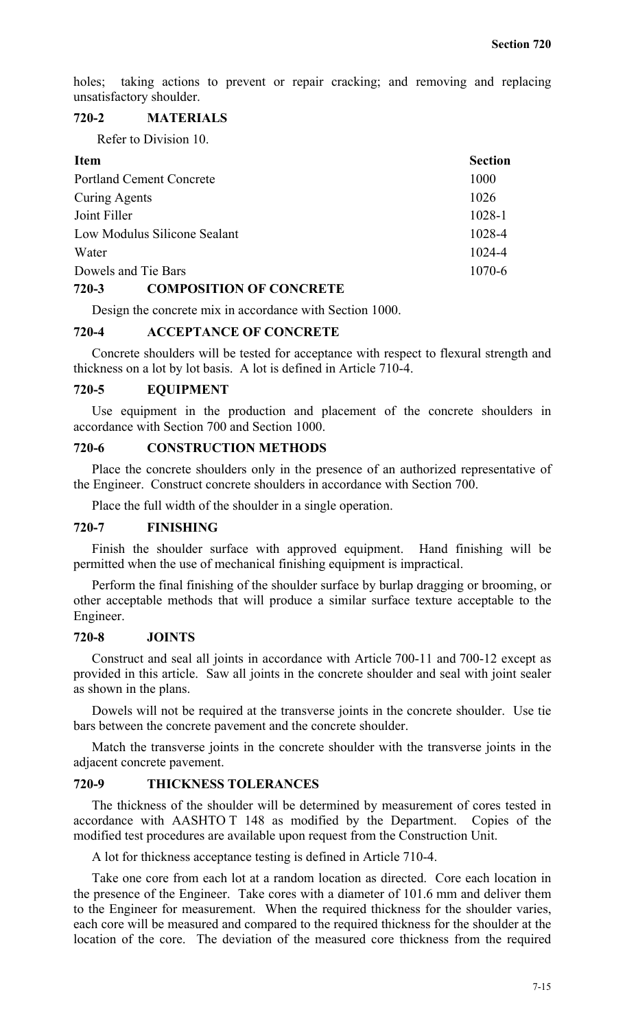holes; taking actions to prevent or repair cracking; and removing and replacing unsatisfactory shoulder.

# **720-2 MATERIALS**

Refer to Division 10.

| <b>Item</b>                     | <b>Section</b> |
|---------------------------------|----------------|
| <b>Portland Cement Concrete</b> | 1000           |
| Curing Agents                   | 1026           |
| Joint Filler                    | 1028-1         |
| Low Modulus Silicone Sealant    | 1028-4         |
| Water                           | 1024-4         |
| Dowels and Tie Bars             | $1070 - 6$     |

#### **720-3 COMPOSITION OF CONCRETE**

Design the concrete mix in accordance with Section 1000.

## **720-4 ACCEPTANCE OF CONCRETE**

Concrete shoulders will be tested for acceptance with respect to flexural strength and thickness on a lot by lot basis. A lot is defined in Article 710-4.

#### **720-5 EQUIPMENT**

Use equipment in the production and placement of the concrete shoulders in accordance with Section 700 and Section 1000.

# **720-6 CONSTRUCTION METHODS**

Place the concrete shoulders only in the presence of an authorized representative of the Engineer. Construct concrete shoulders in accordance with Section 700.

Place the full width of the shoulder in a single operation.

# **720-7 FINISHING**

Finish the shoulder surface with approved equipment. Hand finishing will be permitted when the use of mechanical finishing equipment is impractical.

Perform the final finishing of the shoulder surface by burlap dragging or brooming, or other acceptable methods that will produce a similar surface texture acceptable to the Engineer.

#### **720-8 JOINTS**

Construct and seal all joints in accordance with Article 700-11 and 700-12 except as provided in this article. Saw all joints in the concrete shoulder and seal with joint sealer as shown in the plans.

Dowels will not be required at the transverse joints in the concrete shoulder. Use tie bars between the concrete pavement and the concrete shoulder.

Match the transverse joints in the concrete shoulder with the transverse joints in the adjacent concrete pavement.

#### **720-9 THICKNESS TOLERANCES**

The thickness of the shoulder will be determined by measurement of cores tested in accordance with AASHTO T 148 as modified by the Department. Copies of the modified test procedures are available upon request from the Construction Unit.

A lot for thickness acceptance testing is defined in Article 710-4.

Take one core from each lot at a random location as directed. Core each location in the presence of the Engineer. Take cores with a diameter of 101.6 mm and deliver them to the Engineer for measurement. When the required thickness for the shoulder varies, each core will be measured and compared to the required thickness for the shoulder at the location of the core. The deviation of the measured core thickness from the required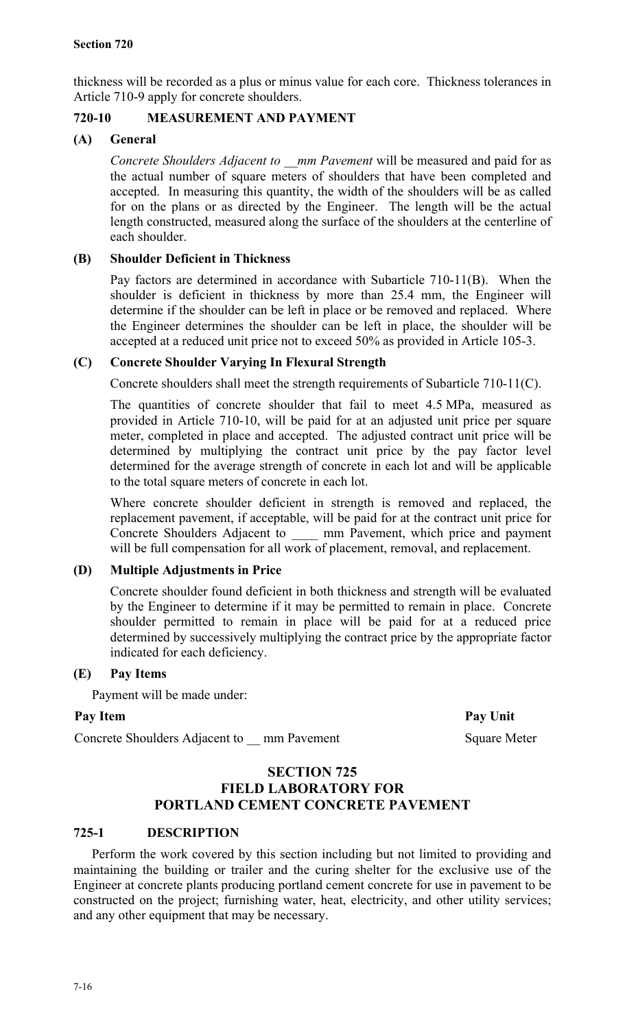thickness will be recorded as a plus or minus value for each core. Thickness tolerances in Article 710-9 apply for concrete shoulders.

# **720-10 MEASUREMENT AND PAYMENT**

# **(A) General**

*Concrete Shoulders Adjacent to \_\_mm Pavement* will be measured and paid for as the actual number of square meters of shoulders that have been completed and accepted. In measuring this quantity, the width of the shoulders will be as called for on the plans or as directed by the Engineer. The length will be the actual length constructed, measured along the surface of the shoulders at the centerline of each shoulder.

# **(B) Shoulder Deficient in Thickness**

Pay factors are determined in accordance with Subarticle 710-11(B). When the shoulder is deficient in thickness by more than 25.4 mm, the Engineer will determine if the shoulder can be left in place or be removed and replaced. Where the Engineer determines the shoulder can be left in place, the shoulder will be accepted at a reduced unit price not to exceed 50% as provided in Article 105-3.

# **(C) Concrete Shoulder Varying In Flexural Strength**

Concrete shoulders shall meet the strength requirements of Subarticle 710-11(C).

The quantities of concrete shoulder that fail to meet 4.5 MPa, measured as provided in Article 710-10, will be paid for at an adjusted unit price per square meter, completed in place and accepted. The adjusted contract unit price will be determined by multiplying the contract unit price by the pay factor level determined for the average strength of concrete in each lot and will be applicable to the total square meters of concrete in each lot.

Where concrete shoulder deficient in strength is removed and replaced, the replacement pavement, if acceptable, will be paid for at the contract unit price for Concrete Shoulders Adjacent to \_\_\_\_ mm Pavement, which price and payment will be full compensation for all work of placement, removal, and replacement.

# **(D) Multiple Adjustments in Price**

Concrete shoulder found deficient in both thickness and strength will be evaluated by the Engineer to determine if it may be permitted to remain in place. Concrete shoulder permitted to remain in place will be paid for at a reduced price determined by successively multiplying the contract price by the appropriate factor indicated for each deficiency.

# **(E) Pay Items**

Payment will be made under:

# Pay Item Pay Unit

Concrete Shoulders Adjacent to \_\_ mm Pavement Square Meter

# **SECTION 725 FIELD LABORATORY FOR PORTLAND CEMENT CONCRETE PAVEMENT**

# **725-1 DESCRIPTION**

Perform the work covered by this section including but not limited to providing and maintaining the building or trailer and the curing shelter for the exclusive use of the Engineer at concrete plants producing portland cement concrete for use in pavement to be constructed on the project; furnishing water, heat, electricity, and other utility services; and any other equipment that may be necessary.